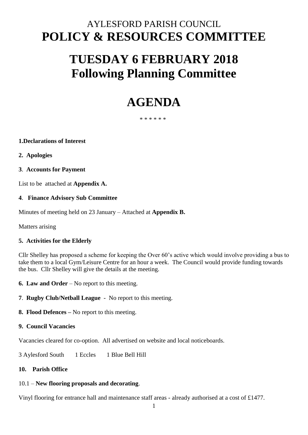# AYLESFORD PARISH COUNCIL **POLICY & RESOURCES COMMITTEE**

# **TUESDAY 6 FEBRUARY 2018 Following Planning Committee**

# **AGENDA**

\* \* \* \* \* \*

# **1.Declarations of Interest**

- **2. Apologies**
- **3**. **Accounts for Payment**

List to be attached at **Appendix A.**

# **4**. **Finance Advisory Sub Committee**

Minutes of meeting held on 23 January – Attached at **Appendix B.** 

Matters arising

### **5. Activities for the Elderly**

Cllr Shelley has proposed a scheme for keeping the Over 60's active which would involve providing a bus to take them to a local Gym/Leisure Centre for an hour a week. The Council would provide funding towards the bus. Cllr Shelley will give the details at the meeting.

- **6. Law and Order** No report to this meeting.
- **7**. **Rugby Club/Netball League** No report to this meeting.
- **8. Flood Defences –** No report to this meeting.

### **9. Council Vacancies**

Vacancies cleared for co-option. All advertised on website and local noticeboards.

3 Aylesford South 1 Eccles 1 Blue Bell Hill

### **10. Parish Office**

### 10.1 – **New flooring proposals and decorating**.

Vinyl flooring for entrance hall and maintenance staff areas - already authorised at a cost of £1477.